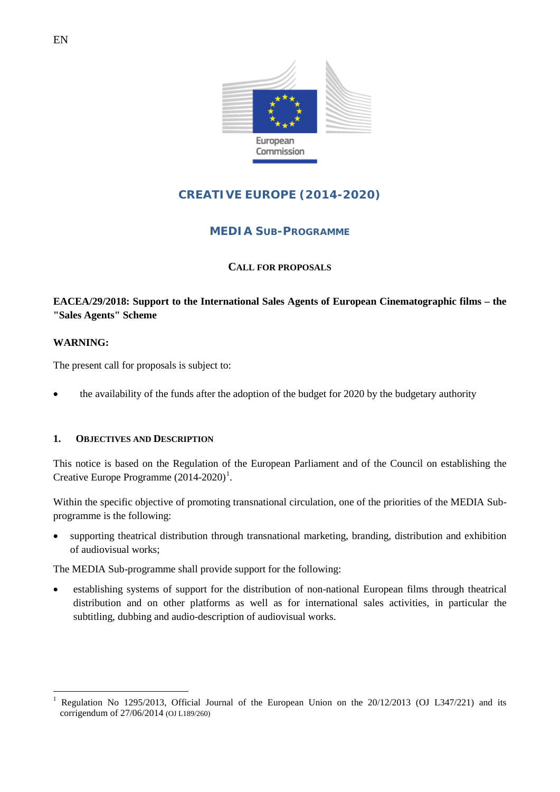

# **CREATIVE EUROPE (2014-2020)**

## **MEDIA SUB-PROGRAMME**

## **CALL FOR PROPOSALS**

## **EACEA/29/2018: Support to the International Sales Agents of European Cinematographic films – the "Sales Agents" Scheme**

### **WARNING:**

The present call for proposals is subject to:

• the availability of the funds after the adoption of the budget for 2020 by the budgetary authority

### **1. OBJECTIVES AND DESCRIPTION**

This notice is based on the Regulation of the European Parliament and of the Council on establishing the Creative Europe Programme  $(2014-2020)^1$  $(2014-2020)^1$  $(2014-2020)^1$ .

Within the specific objective of promoting transnational circulation, one of the priorities of the MEDIA Subprogramme is the following:

• supporting theatrical distribution through transnational marketing, branding, distribution and exhibition of audiovisual works;

The MEDIA Sub-programme shall provide support for the following:

• establishing systems of support for the distribution of non-national European films through theatrical distribution and on other platforms as well as for international sales activities, in particular the subtitling, dubbing and audio-description of audiovisual works.

<span id="page-0-0"></span>Regulation No 1295/2013, Official Journal of the European Union on the 20/12/2013 (OJ L347/221) and its corrigendum of 27/06/2014 (OJ L189/260)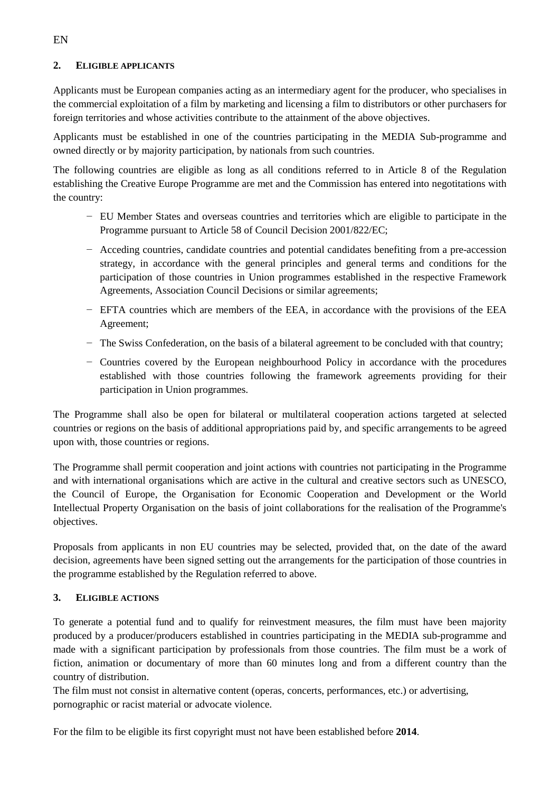### **2. ELIGIBLE APPLICANTS**

Applicants must be European companies acting as an intermediary agent for the producer, who specialises in the commercial exploitation of a film by marketing and licensing a film to distributors or other purchasers for foreign territories and whose activities contribute to the attainment of the above objectives.

Applicants must be established in one of the countries participating in the MEDIA Sub-programme and owned directly or by majority participation, by nationals from such countries.

The following countries are eligible as long as all conditions referred to in Article 8 of the Regulation establishing the Creative Europe Programme are met and the Commission has entered into negotitations with the country:

- − EU Member States and overseas countries and territories which are eligible to participate in the Programme pursuant to Article 58 of Council Decision 2001/822/EC;
- − Acceding countries, candidate countries and potential candidates benefiting from a pre-accession strategy, in accordance with the general principles and general terms and conditions for the participation of those countries in Union programmes established in the respective Framework Agreements, Association Council Decisions or similar agreements;
- − EFTA countries which are members of the EEA, in accordance with the provisions of the EEA Agreement;
- − The Swiss Confederation, on the basis of a bilateral agreement to be concluded with that country;
- − Countries covered by the European neighbourhood Policy in accordance with the procedures established with those countries following the framework agreements providing for their participation in Union programmes.

The Programme shall also be open for bilateral or multilateral cooperation actions targeted at selected countries or regions on the basis of additional appropriations paid by, and specific arrangements to be agreed upon with, those countries or regions.

The Programme shall permit cooperation and joint actions with countries not participating in the Programme and with international organisations which are active in the cultural and creative sectors such as UNESCO, the Council of Europe, the Organisation for Economic Cooperation and Development or the World Intellectual Property Organisation on the basis of joint collaborations for the realisation of the Programme's objectives.

Proposals from applicants in non EU countries may be selected, provided that, on the date of the award decision, agreements have been signed setting out the arrangements for the participation of those countries in the programme established by the Regulation referred to above.

### **3. ELIGIBLE ACTIONS**

To generate a potential fund and to qualify for reinvestment measures, the film must have been majority produced by a producer/producers established in countries participating in the MEDIA sub-programme and made with a significant participation by professionals from those countries. The film must be a work of fiction, animation or documentary of more than 60 minutes long and from a different country than the country of distribution.

The film must not consist in alternative content (operas, concerts, performances, etc.) or advertising, pornographic or racist material or advocate violence.

For the film to be eligible its first copyright must not have been established before **2014**.